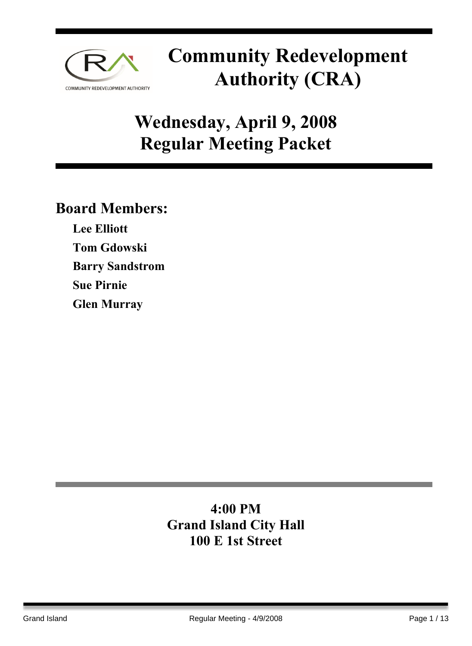

## **Wednesday, April 9, 2008 Regular Meeting Packet**

### **Board Members:**

**Lee Elliott Tom Gdowski Barry Sandstrom Sue Pirnie**

**Glen Murray** 

### **4:00 PM Grand Island City Hall 100 E 1st Street**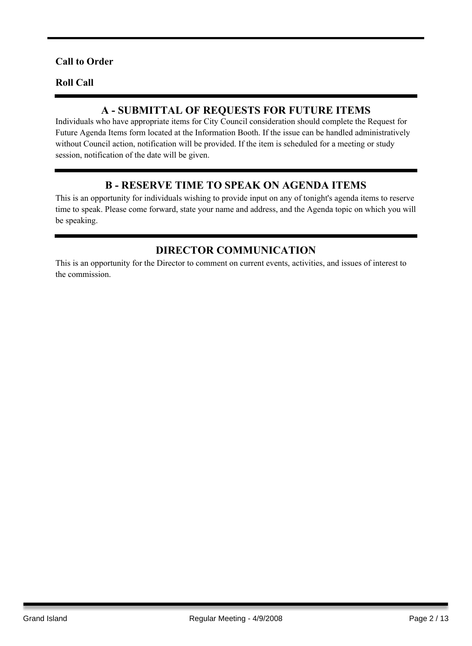#### **Call to Order**

#### **Roll Call**

#### **A - SUBMITTAL OF REQUESTS FOR FUTURE ITEMS**

Individuals who have appropriate items for City Council consideration should complete the Request for Future Agenda Items form located at the Information Booth. If the issue can be handled administratively without Council action, notification will be provided. If the item is scheduled for a meeting or study session, notification of the date will be given.

#### **B - RESERVE TIME TO SPEAK ON AGENDA ITEMS**

This is an opportunity for individuals wishing to provide input on any of tonight's agenda items to reserve time to speak. Please come forward, state your name and address, and the Agenda topic on which you will be speaking.

#### **DIRECTOR COMMUNICATION**

This is an opportunity for the Director to comment on current events, activities, and issues of interest to the commission.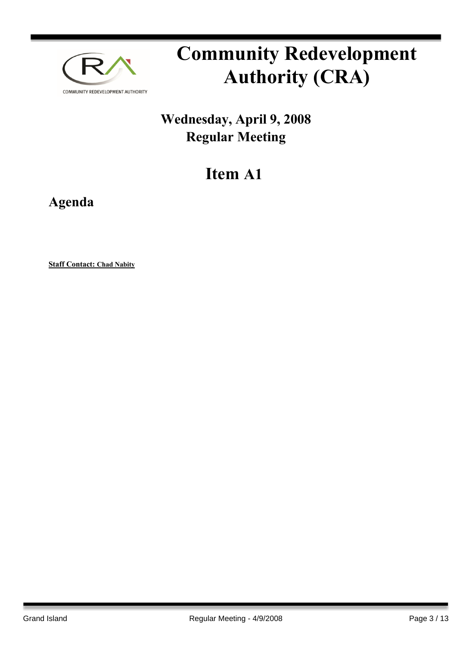

## **Wednesday, April 9, 2008 Regular Meeting**

## **Item A1**

**Agenda**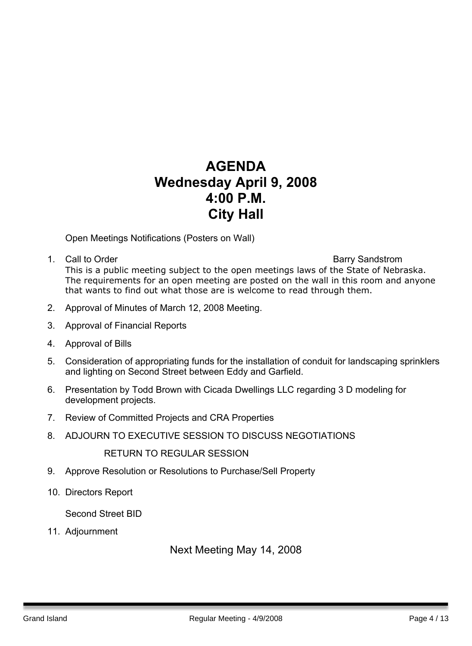### **AGENDA Wednesday April 9, 2008 4:00 P.M. City Hall**

Open Meetings Notifications (Posters on Wall)

1. Call to Order **Barry Sandstrom Barry Sandstrom** This is a public meeting subject to the open meetings laws of the State of Nebraska. The requirements for an open meeting are posted on the wall in this room and anyone that wants to find out what those are is welcome to read through them.

- 2. Approval of Minutes of March 12, 2008 Meeting.
- 3. Approval of Financial Reports
- 4. Approval of Bills
- 5. Consideration of appropriating funds for the installation of conduit for landscaping sprinklers and lighting on Second Street between Eddy and Garfield.
- 6. Presentation by Todd Brown with Cicada Dwellings LLC regarding 3 D modeling for development projects.
- 7. Review of Committed Projects and CRA Properties
- 8. ADJOURN TO EXECUTIVE SESSION TO DISCUSS NEGOTIATIONS

RETURN TO REGULAR SESSION

- 9. Approve Resolution or Resolutions to Purchase/Sell Property
- 10. Directors Report

Second Street BID

11. Adjournment

Next Meeting May 14, 2008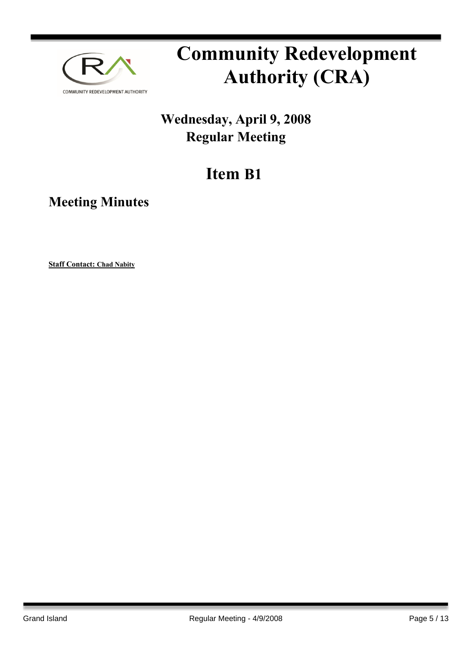

## **Wednesday, April 9, 2008 Regular Meeting**

## **Item B1**

**Meeting Minutes**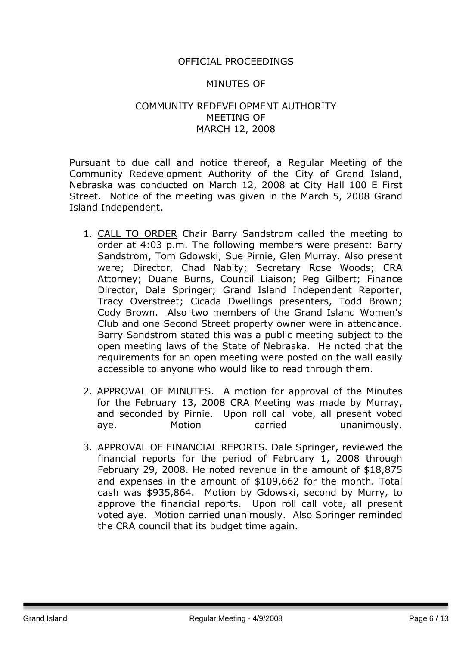#### OFFICIAL PROCEEDINGS

#### MINUTES OF

#### COMMUNITY REDEVELOPMENT AUTHORITY MEETING OF MARCH 12, 2008

Pursuant to due call and notice thereof, a Regular Meeting of the Community Redevelopment Authority of the City of Grand Island, Nebraska was conducted on March 12, 2008 at City Hall 100 E First Street. Notice of the meeting was given in the March 5, 2008 Grand Island Independent.

- 1. CALL TO ORDER Chair Barry Sandstrom called the meeting to order at 4:03 p.m. The following members were present: Barry Sandstrom, Tom Gdowski, Sue Pirnie, Glen Murray. Also present were; Director, Chad Nabity; Secretary Rose Woods; CRA Attorney; Duane Burns, Council Liaison; Peg Gilbert; Finance Director, Dale Springer; Grand Island Independent Reporter, Tracy Overstreet; Cicada Dwellings presenters, Todd Brown; Cody Brown. Also two members of the Grand Island Women's Club and one Second Street property owner were in attendance. Barry Sandstrom stated this was a public meeting subject to the open meeting laws of the State of Nebraska. He noted that the requirements for an open meeting were posted on the wall easily accessible to anyone who would like to read through them.
- 2. APPROVAL OF MINUTES. A motion for approval of the Minutes for the February 13, 2008 CRA Meeting was made by Murray, and seconded by Pirnie. Upon roll call vote, all present voted aye. Motion carried unanimously.
- 3. APPROVAL OF FINANCIAL REPORTS. Dale Springer, reviewed the financial reports for the period of February 1, 2008 through February 29, 2008. He noted revenue in the amount of \$18,875 and expenses in the amount of \$109,662 for the month. Total cash was \$935,864. Motion by Gdowski, second by Murry, to approve the financial reports. Upon roll call vote, all present voted aye. Motion carried unanimously. Also Springer reminded the CRA council that its budget time again.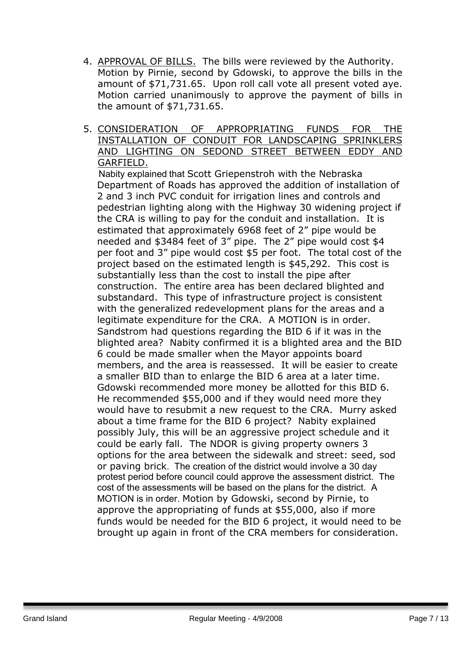- 4. APPROVAL OF BILLS. The bills were reviewed by the Authority. Motion by Pirnie, second by Gdowski, to approve the bills in the amount of \$71,731.65. Upon roll call vote all present voted aye. Motion carried unanimously to approve the payment of bills in the amount of \$71,731.65.
- 5. CONSIDERATION OF APPROPRIATING FUNDS FOR THE INSTALLATION OF CONDUIT FOR LANDSCAPING SPRINKLERS AND LIGHTING ON SEDOND STREET BETWEEN EDDY AND GARFIELD.

 Nabity explained that Scott Griepenstroh with the Nebraska Department of Roads has approved the addition of installation of 2 and 3 inch PVC conduit for irrigation lines and controls and pedestrian lighting along with the Highway 30 widening project if the CRA is willing to pay for the conduit and installation. It is estimated that approximately 6968 feet of 2" pipe would be needed and \$3484 feet of 3" pipe. The 2" pipe would cost \$4 per foot and 3" pipe would cost \$5 per foot. The total cost of the project based on the estimated length is \$45,292. This cost is substantially less than the cost to install the pipe after construction. The entire area has been declared blighted and substandard. This type of infrastructure project is consistent with the generalized redevelopment plans for the areas and a legitimate expenditure for the CRA. A MOTION is in order. Sandstrom had questions regarding the BID 6 if it was in the blighted area? Nabity confirmed it is a blighted area and the BID 6 could be made smaller when the Mayor appoints board members, and the area is reassessed. It will be easier to create a smaller BID than to enlarge the BID 6 area at a later time. Gdowski recommended more money be allotted for this BID 6. He recommended \$55,000 and if they would need more they would have to resubmit a new request to the CRA. Murry asked about a time frame for the BID 6 project? Nabity explained possibly July, this will be an aggressive project schedule and it could be early fall. The NDOR is giving property owners 3 options for the area between the sidewalk and street: seed, sod or paving brick. The creation of the district would involve a 30 day protest period before council could approve the assessment district. The cost of the assessments will be based on the plans for the district. A MOTION is in order. Motion by Gdowski, second by Pirnie, to approve the appropriating of funds at \$55,000, also if more funds would be needed for the BID 6 project, it would need to be brought up again in front of the CRA members for consideration.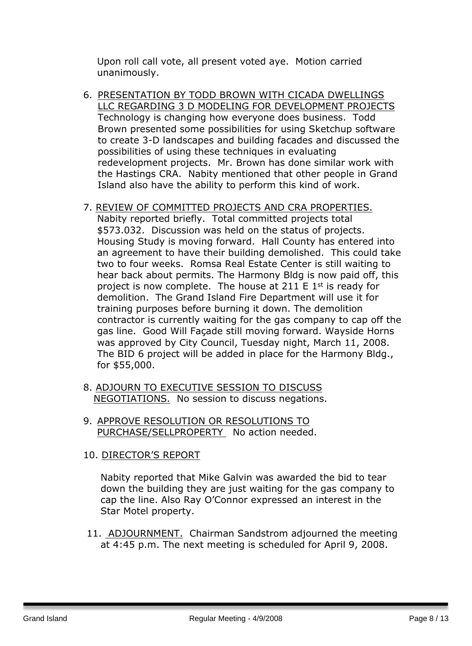Upon roll call vote, all present voted aye. Motion carried unanimously.

6. PRESENTATION BY TODD BROWN WITH CICADA DWELLINGS LLC REGARDING 3 D MODELING FOR DEVELOPMENT PROJECTS Technology is changing how everyone does business. Todd Brown presented some possibilities for using Sketchup software to create 3-D landscapes and building facades and discussed the possibilities of using these techniques in evaluating redevelopment projects. Mr. Brown has done similar work with the Hastings CRA. Nabity mentioned that other people in Grand Island also have the ability to perform this kind of work.

#### 7. REVIEW OF COMMITTED PROJECTS AND CRA PROPERTIES.

Nabity reported briefly. Total committed projects total \$573.032. Discussion was held on the status of projects. Housing Study is moving forward. Hall County has entered into an agreement to have their building demolished. This could take two to four weeks. Romsa Real Estate Center is still waiting to hear back about permits. The Harmony Bldg is now paid off, this project is now complete. The house at 211 E  $1<sup>st</sup>$  is ready for demolition. The Grand Island Fire Department will use it for training purposes before burning it down. The demolition contractor is currently waiting for the gas company to cap off the gas line. Good Will Façade still moving forward. Wayside Horns was approved by City Council, Tuesday night, March 11, 2008. The BID 6 project will be added in place for the Harmony Bldg., for \$55,000.

- 8. ADJOURN TO EXECUTIVE SESSION TO DISCUSS NEGOTIATIONS. No session to discuss negations.
- 9. APPROVE RESOLUTION OR RESOLUTIONS TO PURCHASE/SELLPROPERTY No action needed.

#### 10. DIRECTOR'S REPORT

Nabity reported that Mike Galvin was awarded the bid to tear down the building they are just waiting for the gas company to cap the line. Also Ray O'Connor expressed an interest in the Star Motel property.

11. ADJOURNMENT. Chairman Sandstrom adjourned the meeting at 4:45 p.m. The next meeting is scheduled for April 9, 2008.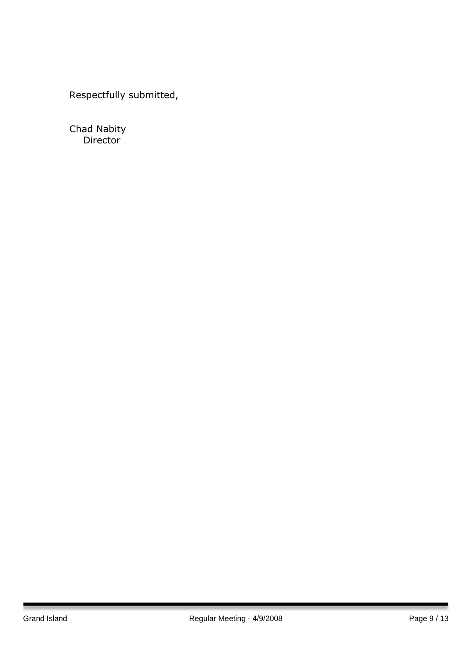Respectfully submitted,

Chad Nabity Director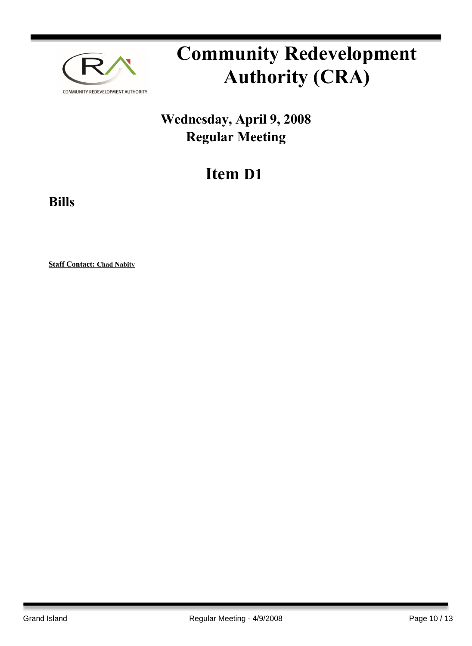

## **Wednesday, April 9, 2008 Regular Meeting**

## **Item D1**

**Bills**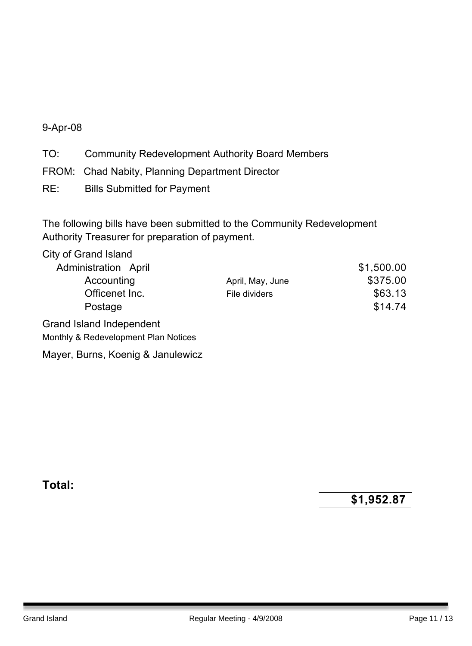#### 9-Apr-08

TO: Community Redevelopment Authority Board Members

- FROM: Chad Nabity, Planning Department Director
- RE: Bills Submitted for Payment

The following bills have been submitted to the Community Redevelopment Authority Treasurer for preparation of payment.

City of Grand Island

| Administration April                 |                  | \$1,500.00 |
|--------------------------------------|------------------|------------|
| Accounting                           | April, May, June | \$375.00   |
| Officenet Inc.                       | File dividers    | \$63.13    |
| Postage                              |                  | \$14.74    |
| Grand Island Independent             |                  |            |
| Monthly & Redevelopment Plan Notices |                  |            |
| Mayer, Burns, Koenig & Janulewicz    |                  |            |

**Total:**

**\$1,952.87**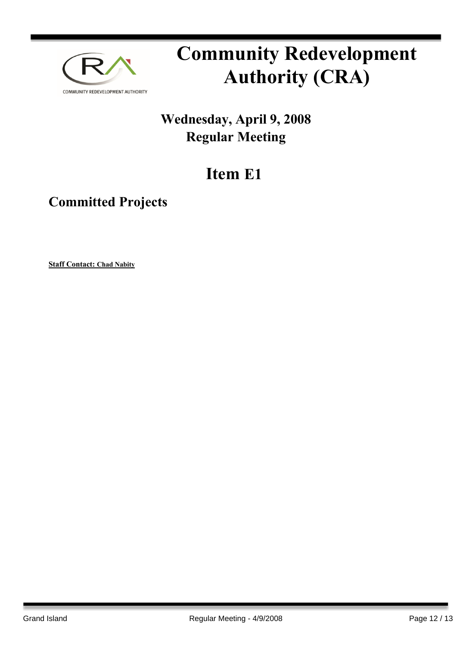

## **Wednesday, April 9, 2008 Regular Meeting**

## **Item E1**

### **Committed Projects**